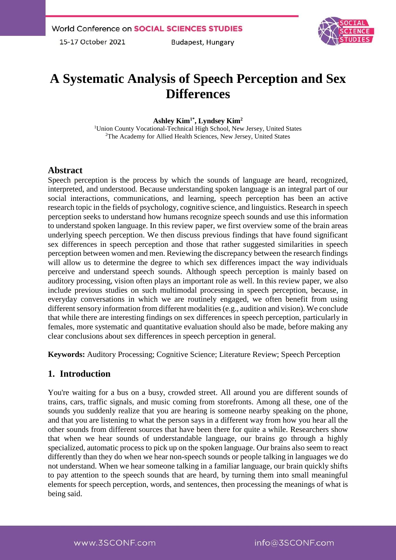**Budapest, Hungary** 



# **A Systematic Analysis of Speech Perception and Sex Differences**

#### **Ashley Kim1\*, Lyndsey Kim<sup>2</sup>**

<sup>1</sup>Union County Vocational-Technical High School, New Jersey, United States <sup>2</sup>The Academy for Allied Health Sciences, New Jersey, United States

## **Abstract**

Speech perception is the process by which the sounds of language are heard, recognized, interpreted, and understood. Because understanding spoken language is an integral part of our social interactions, communications, and learning, speech perception has been an active research topic in the fields of psychology, cognitive science, and linguistics. Research in speech perception seeks to understand how humans recognize speech sounds and use this information to understand spoken language. In this review paper, we first overview some of the brain areas underlying speech perception. We then discuss previous findings that have found significant sex differences in speech perception and those that rather suggested similarities in speech perception between women and men. Reviewing the discrepancy between the research findings will allow us to determine the degree to which sex differences impact the way individuals perceive and understand speech sounds. Although speech perception is mainly based on auditory processing, vision often plays an important role as well. In this review paper, we also include previous studies on such multimodal processing in speech perception, because, in everyday conversations in which we are routinely engaged, we often benefit from using different sensory information from different modalities (e.g., audition and vision). We conclude that while there are interesting findings on sex differences in speech perception, particularly in females, more systematic and quantitative evaluation should also be made, before making any clear conclusions about sex differences in speech perception in general.

**Keywords:** Auditory Processing; Cognitive Science; Literature Review; Speech Perception

## **1. Introduction**

You're waiting for a bus on a busy, crowded street. All around you are different sounds of trains, cars, traffic signals, and music coming from storefronts. Among all these, one of the sounds you suddenly realize that you are hearing is someone nearby speaking on the phone, and that you are listening to what the person says in a different way from how you hear all the other sounds from different sources that have been there for quite a while. Researchers show that when we hear sounds of understandable language, our brains go through a highly specialized, automatic process to pick up on the spoken language. Our brains also seem to react differently than they do when we hear non-speech sounds or people talking in languages we do not understand. When we hear someone talking in a familiar language, our brain quickly shifts to pay attention to the speech sounds that are heard, by turning them into small meaningful elements for speech perception, words, and sentences, then processing the meanings of what is being said.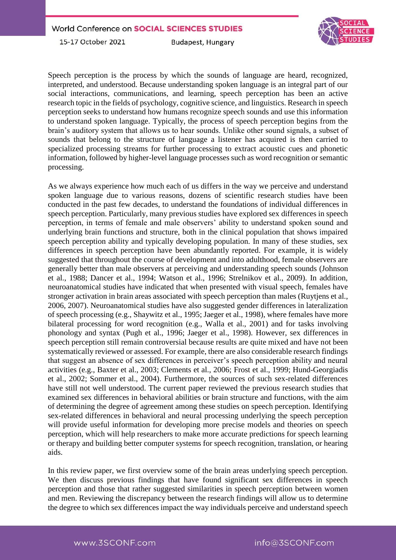



**Budapest, Hungary** 

Speech perception is the process by which the sounds of language are heard, recognized, interpreted, and understood. Because understanding spoken language is an integral part of our social interactions, communications, and learning, speech perception has been an active research topic in the fields of psychology, cognitive science, and linguistics. Research in speech perception seeks to understand how humans recognize speech sounds and use this information to understand spoken language. Typically, the process of speech perception begins from the brain's auditory system that allows us to hear sounds. Unlike other sound signals, a subset of sounds that belong to the structure of language a listener has acquired is then carried to specialized processing streams for further processing to extract acoustic cues and phonetic information, followed by higher-level language processes such as word recognition or semantic processing.

As we always experience how much each of us differs in the way we perceive and understand spoken language due to various reasons, dozens of scientific research studies have been conducted in the past few decades, to understand the foundations of individual differences in speech perception. Particularly, many previous studies have explored sex differences in speech perception, in terms of female and male observers' ability to understand spoken sound and underlying brain functions and structure, both in the clinical population that shows impaired speech perception ability and typically developing population. In many of these studies, sex differences in speech perception have been abundantly reported. For example, it is widely suggested that throughout the course of development and into adulthood, female observers are generally better than male observers at perceiving and understanding speech sounds (Johnson et al., 1988; Dancer et al., 1994; Watson et al., 1996; Strelnikov et al., 2009). In addition, neuroanatomical studies have indicated that when presented with visual speech, females have stronger activation in brain areas associated with speech perception than males [\(Ruytjens et al.,](https://www.frontiersin.org/articles/10.3389/fpsyg.2015.01014/full#B49)  [2006,](https://www.frontiersin.org/articles/10.3389/fpsyg.2015.01014/full#B49) [2007\)](https://www.frontiersin.org/articles/10.3389/fpsyg.2015.01014/full#B50). Neuroanatomical studies have also suggested gender differences in lateralization of speech processing (e.g., [Shaywitz et al., 1995;](https://www.frontiersin.org/articles/10.3389/fpsyg.2015.01014/full#B54) [Jaeger et al., 1998\)](https://www.frontiersin.org/articles/10.3389/fpsyg.2015.01014/full#B31), where females have more bilateral processing for word recognition (e.g., [Walla et al., 2001\)](https://www.frontiersin.org/articles/10.3389/fpsyg.2015.01014/full#B66) and for tasks involving phonology and syntax [\(Pugh et al., 1996;](https://www.frontiersin.org/articles/10.3389/fpsyg.2015.01014/full#B46) [Jaeger et al., 1998\)](https://www.frontiersin.org/articles/10.3389/fpsyg.2015.01014/full#B31). However, sex differences in speech perception still remain controversial because results are quite mixed and have not been systematically reviewed or assessed. For example, there are also considerable research findings that suggest an absence of sex differences in perceiver's speech perception ability and neural activities (e.g., [Baxter et al., 2003;](https://www.frontiersin.org/articles/10.3389/fpsyg.2015.01014/full#B6) [Clements et al., 2006;](https://www.frontiersin.org/articles/10.3389/fpsyg.2015.01014/full#B14) [Frost et al., 1999;](https://www.frontiersin.org/articles/10.3389/fpsyg.2015.01014/full#B24) [Hund-Georgiadis](https://www.frontiersin.org/articles/10.3389/fpsyg.2015.01014/full#B28)  [et al., 2002;](https://www.frontiersin.org/articles/10.3389/fpsyg.2015.01014/full#B28) [Sommer et al., 2004\)](https://www.frontiersin.org/articles/10.3389/fpsyg.2015.01014/full#B55). Furthermore, the sources of such sex-related differences have still not well understood. The current paper reviewed the previous research studies that examined sex differences in behavioral abilities or brain structure and functions, with the aim of determining the degree of agreement among these studies on speech perception. Identifying sex-related differences in behavioral and neural processing underlying the speech perception will provide useful information for developing more precise models and theories on speech perception, which will help researchers to make more accurate predictions for speech learning or therapy and building better computer systems for speech recognition, translation, or hearing aids.

In this review paper, we first overview some of the brain areas underlying speech perception. We then discuss previous findings that have found significant sex differences in speech perception and those that rather suggested similarities in speech perception between women and men. Reviewing the discrepancy between the research findings will allow us to determine the degree to which sex differences impact the way individuals perceive and understand speech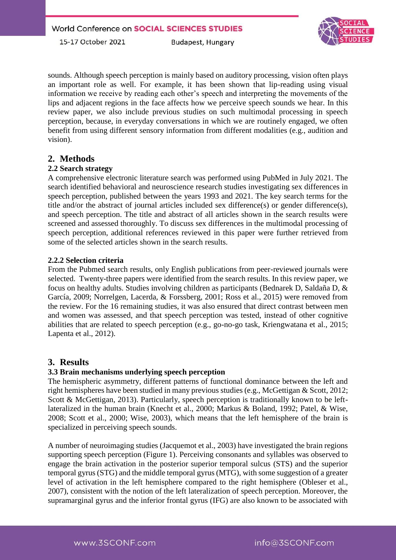**Budapest, Hungary** 



sounds. Although speech perception is mainly based on auditory processing, vision often plays an important role as well. For example, it has been shown that lip-reading using visual information we receive by reading each other's speech and interpreting the movements of the lips and adjacent regions in the face affects how we perceive speech sounds we hear. In this review paper, we also include previous studies on such multimodal processing in speech perception, because, in everyday conversations in which we are routinely engaged, we often benefit from using different sensory information from different modalities (e.g., audition and vision).

# **2. Methods**

#### **2.2 Search strategy**

A comprehensive electronic literature search was performed using PubMed in July 2021. The search identified behavioral and neuroscience research studies investigating sex differences in speech perception, published between the years 1993 and 2021. The key search terms for the title and/or the abstract of journal articles included sex difference(s) or gender difference(s), and speech perception. The title and abstract of all articles shown in the search results were screened and assessed thoroughly. To discuss sex differences in the multimodal processing of speech perception, additional references reviewed in this paper were further retrieved from some of the selected articles shown in the search results.

#### **2.2.2 Selection criteria**

From the Pubmed search results, only English publications from peer-reviewed journals were selected. Twenty-three papers were identified from the search results. In this review paper, we focus on healthy adults. Studies involving children as participants (Bednarek D, Saldaña D, & García, 2009; Norrelgen, Lacerda, & Forssberg, 2001; Ross et al., 2015) were removed from the review. For the 16 remaining studies, it was also ensured that direct contrast between men and women was assessed, and that speech perception was tested, instead of other cognitive abilities that are related to speech perception (e.g., go-no-go task, Kriengwatana et al., 2015; Lapenta et al., 2012).

## **3. Results**

#### **3.3 Brain mechanisms underlying speech perception**

The hemispheric asymmetry, different patterns of functional dominance between the left and right hemispheres have been studied in many previous studies (e.g., McGettigan & Scott, 2012; Scott & McGettigan, 2013). Particularly, speech perception is traditionally known to be leftlateralized in the human brain (Knecht et al., 2000; Markus & Boland, 1992; Patel, & Wise, 2008; Scott et al., 2000; Wise, 2003), which means that the left hemisphere of the brain is specialized in perceiving speech sounds.

A number of neuroimaging studies (Jacquemot et al., 2003) have investigated the brain regions supporting speech perception (Figure 1). Perceiving consonants and syllables was observed to engage the brain activation in the posterior superior temporal sulcus (STS) and the superior temporal gyrus (STG) and the middle temporal gyrus (MTG), with some suggestion of a greater level of activation in the left hemisphere compared to the right hemisphere (Obleser et al., 2007), consistent with the notion of the left lateralization of speech perception. Moreover, the supramarginal gyrus and the inferior frontal gyrus (IFG) are also known to be associated with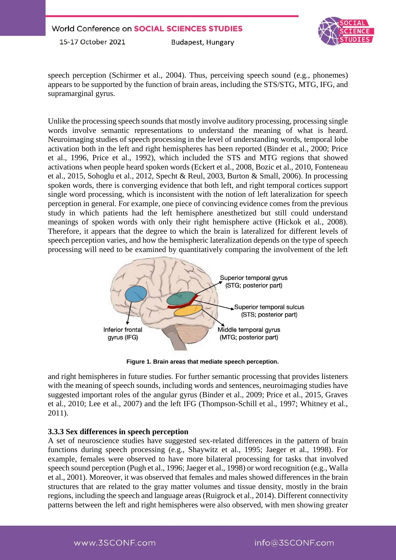**Budapest, Hungary** 



speech perception (Schirmer et al., 2004). Thus, perceiving speech sound (e.g., phonemes) appears to be supported by the function of brain areas, including the STS/STG, MTG, IFG, and supramarginal gyrus.

Unlike the processing speech sounds that mostly involve auditory processing, processing single words involve semantic representations to understand the meaning of what is heard. Neuroimaging studies of speech processing in the level of understanding words, temporal lobe activation both in the left and right hemispheres has been reported (Binder et al., 2000; Price et al., 1996, Price et al., 1992), which included the STS and MTG regions that showed activations when people heard spoken words (Eckert et al., 2008, Bozic et al., 2010, Fonteneau et al., 2015, Sohoglu et al., 2012, Specht & Reul, 2003, Burton & Small, 2006). In processing spoken words, there is converging evidence that both left, and right temporal cortices support single word processing, which is inconsistent with the notion of left lateralization for speech perception in general. For example, one piece of convincing evidence comes from the previous study in which patients had the left hemisphere anesthetized but still could understand meanings of spoken words with only their right hemisphere active (Hickok et al., 2008). Therefore, it appears that the degree to which the brain is lateralized for different levels of speech perception varies, and how the hemispheric lateralization depends on the type of speech processing will need to be examined by quantitatively comparing the involvement of the left



**Figure 1. Brain areas that mediate speech perception.**

and right hemispheres in future studies. For further semantic processing that provides listeners with the meaning of speech sounds, including words and sentences, neuroimaging studies have suggested important roles of the angular gyrus (Binder et al., 2009; Price et al., 2015, Graves et al., 2010; Lee et al., 2007) and the left IFG (Thompson-Schill et al., 1997; Whitney et al., 2011).

## **3.3.3 Sex differences in speech perception**

A set of neuroscience studies have suggested sex-related differences in the pattern of brain functions during speech processing (e.g., Shaywitz et al., 1995; Jaeger et al., 1998). For example, females were observed to have more bilateral processing for tasks that involved speech sound perception (Pugh et al., 1996; Jaeger et al., 1998) or word recognition (e.g., Walla et al., 2001). Moreover, it was observed that females and males showed differences in the brain structures that are related to the gray matter volumes and tissue density, mostly in the brain regions, including the speech and language areas (Ruigrock et al., 2014). Different connectivity patterns between the left and right hemispheres were also observed, with men showing greater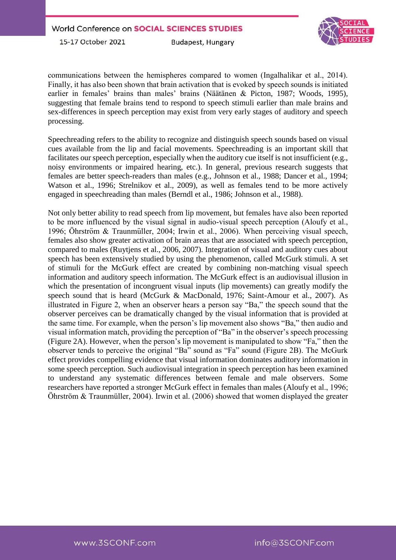**Budapest, Hungary** 



communications between the hemispheres compared to women (Ingalhalikar et al., 2014). Finally, it has also been shown that brain activation that is evoked by speech sounds is initiated earlier in females' brains than males' brains (Näätänen & Picton, 1987; Woods, 1995), suggesting that female brains tend to respond to speech stimuli earlier than male brains and sex-differences in speech perception may exist from very early stages of auditory and speech processing.

Speechreading refers to the ability to recognize and distinguish speech sounds based on visual cues available from the lip and facial movements. Speechreading is an important skill that facilitates our speech perception, especially when the auditory cue itself is not insufficient (e.g., noisy environments or impaired hearing, etc.). In general, previous research suggests that females are better speech-readers than males (e.g., Johnson et al., 1988; Dancer et al., 1994; Watson et al., 1996; Strelnikov et al., 2009), as well as females tend to be more actively engaged in speechreading than males (Berndl et al., 1986; Johnson et al., 1988).

Not only better ability to read speech from lip movement, but females have also been reported to be more influenced by the visual signal in audio-visual speech perception (Aloufy et al., 1996; Öhrström & Traunmüller, 2004; Irwin et al., 2006). When perceiving visual speech, females also show greater activation of brain areas that are associated with speech perception, compared to males (Ruytjens et al., 2006, 2007). Integration of visual and auditory cues about speech has been extensively studied by using the phenomenon, called McGurk stimuli. A set of stimuli for the McGurk effect are created by combining non-matching visual speech information and auditory speech information. The McGurk effect is an audiovisual illusion in which the presentation of incongruent visual inputs (lip movements) can greatly modify the speech sound that is heard (McGurk & MacDonald, 1976; Saint-Amour et al., 2007). As illustrated in Figure 2, when an observer hears a person say "Ba," the speech sound that the observer perceives can be dramatically changed by the visual information that is provided at the same time. For example, when the person's lip movement also shows "Ba," then audio and visual information match, providing the perception of "Ba" in the observer's speech processing (Figure 2A). However, when the person's lip movement is manipulated to show "Fa," then the observer tends to perceive the original "Ba" sound as "Fa" sound (Figure 2B). The McGurk effect provides compelling evidence that visual information dominates auditory information in some speech perception. Such audiovisual integration in speech perception has been examined to understand any systematic differences between female and male observers. Some researchers have reported a stronger McGurk effect in females than males (Aloufy et al., 1996; Öhrström & Traunmüller, 2004). Irwin et al. (2006) showed that women displayed the greater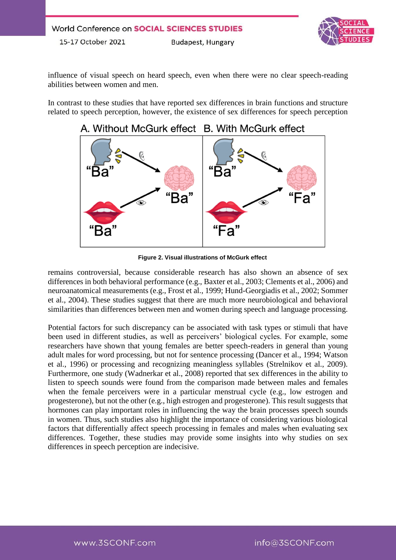influence of visual speech on heard speech, even when there were no clear speech-reading abilities between women and men.

In contrast to these studies that have reported sex differences in brain functions and structure related to speech perception, however, the existence of sex differences for speech perception



**Figure 2. Visual illustrations of McGurk effect**

remains controversial, because considerable research has also shown an absence of sex differences in both behavioral performance (e.g., Baxter et al., 2003; Clements et al., 2006) and neuroanatomical measurements (e.g., Frost et al., 1999; Hund-Georgiadis et al., 2002; Sommer et al., 2004). These studies suggest that there are much more neurobiological and behavioral similarities than differences between men and women during speech and language processing.

Potential factors for such discrepancy can be associated with task types or stimuli that have been used in different studies, as well as perceivers' biological cycles. For example, some researchers have shown that young females are better speech-readers in general than young adult males for word processing, but not for sentence processing (Dancer et al., 1994; Watson et al., 1996) or processing and recognizing meaningless syllables (Strelnikov et al., 2009). Furthermore, one study (Wadnerkar et al., 2008) reported that sex differences in the ability to listen to speech sounds were found from the comparison made between males and females when the female perceivers were in a particular menstrual cycle (e.g., low estrogen and progesterone), but not the other (e.g., high estrogen and progesterone). This result suggests that hormones can play important roles in influencing the way the brain processes speech sounds in women. Thus, such studies also highlight the importance of considering various biological factors that differentially affect speech processing in females and males when evaluating sex differences. Together, these studies may provide some insights into why studies on sex differences in speech perception are indecisive.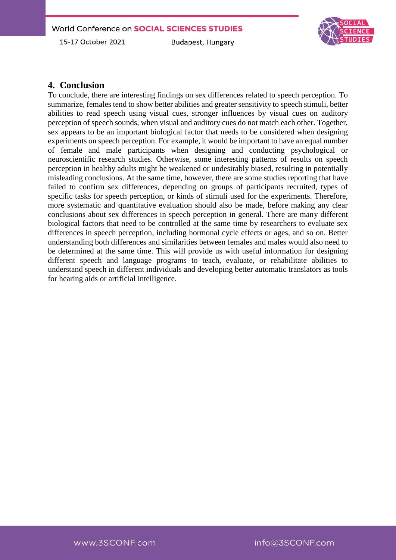**Budapest, Hungary** 



## **4. Conclusion**

To conclude, there are interesting findings on sex differences related to speech perception. To summarize, females tend to show better abilities and greater sensitivity to speech stimuli, better abilities to read speech using visual cues, stronger influences by visual cues on auditory perception of speech sounds, when visual and auditory cues do not match each other. Together, sex appears to be an important biological factor that needs to be considered when designing experiments on speech perception. For example, it would be important to have an equal number of female and male participants when designing and conducting psychological or neuroscientific research studies. Otherwise, some interesting patterns of results on speech perception in healthy adults might be weakened or undesirably biased, resulting in potentially misleading conclusions. At the same time, however, there are some studies reporting that have failed to confirm sex differences, depending on groups of participants recruited, types of specific tasks for speech perception, or kinds of stimuli used for the experiments. Therefore, more systematic and quantitative evaluation should also be made, before making any clear conclusions about sex differences in speech perception in general. There are many different biological factors that need to be controlled at the same time by researchers to evaluate sex differences in speech perception, including hormonal cycle effects or ages, and so on. Better understanding both differences and similarities between females and males would also need to be determined at the same time. This will provide us with useful information for designing different speech and language programs to teach, evaluate, or rehabilitate abilities to understand speech in different individuals and developing better automatic translators as tools for hearing aids or artificial intelligence.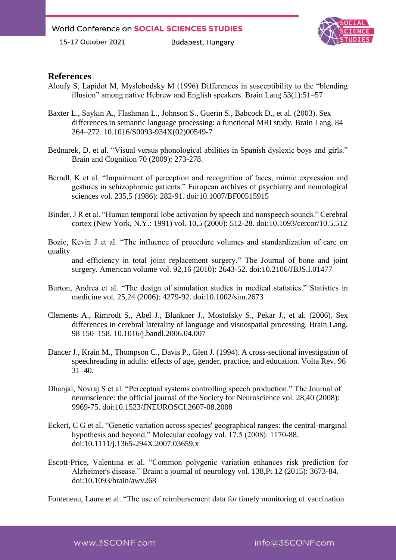**Budapest, Hungary** 



## **References**

- Aloufy S, Lapidot M, Myslobodsky M (1996) Differences in susceptibility to the "blending illusion" among native Hebrew and English speakers. Brain Lang 53(1):51–57
- Baxter L., Saykin A., Flashman L., Johnson S., Guerin S., Babcock D., et al. (2003). Sex differences in semantic language processing: a functional MRI study. Brain Lang. 84 264–272. 10.1016/S0093-934X(02)00549-7
- Bednarek, D. et al. "Visual versus phonological abilities in Spanish dyslexic boys and girls." Brain and Cognition 70 (2009): 273-278.
- Berndl, K et al. "Impairment of perception and recognition of faces, mimic expression and gestures in schizophrenic patients." European archives of psychiatry and neurological sciences vol. 235,5 (1986): 282-91. doi:10.1007/BF00515915
- Binder, J R et al. "Human temporal lobe activation by speech and nonspeech sounds." Cerebral cortex (New York, N.Y.: 1991) vol. 10,5 (2000): 512-28. doi:10.1093/cercor/10.5.512
- Bozic, Kevin J et al. "The influence of procedure volumes and standardization of care on quality

and efficiency in total joint replacement surgery." The Journal of bone and joint surgery. American volume vol. 92,16 (2010): 2643-52. doi:10.2106/JBJS.I.01477

- Burton, Andrea et al. "The design of simulation studies in medical statistics." Statistics in medicine vol. 25,24 (2006): 4279-92. doi:10.1002/sim.2673
- Clements A., Rimrodt S., Abel J., Blankner J., Mostofsky S., Pekar J., et al. (2006). Sex differences in cerebral laterality of language and visuospatial processing. Brain Lang. 98 150–158. 10.1016/j.bandl.2006.04.007
- Dancer J., Krain M., Thompson C., Davis P., Glen J. (1994). A cross-sectional investigation of speechreading in adults: effects of age, gender, practice, and education. Volta Rev. 96 31–40.
- Dhanjal, Novraj S et al. "Perceptual systems controlling speech production." The Journal of neuroscience: the official journal of the Society for Neuroscience vol. 28,40 (2008): 9969-75. doi:10.1523/JNEUROSCI.2607-08.2008
- Eckert, C G et al. "Genetic variation across species' geographical ranges: the central-marginal hypothesis and beyond." Molecular ecology vol. 17,5 (2008): 1170-88. doi:10.1111/j.1365-294X.2007.03659.x
- Escott-Price, Valentina et al. "Common polygenic variation enhances risk prediction for Alzheimer's disease." Brain: a journal of neurology vol. 138,Pt 12 (2015): 3673-84. doi:10.1093/brain/awv268

Fonteneau, Laure et al. "The use of reimbursement data for timely monitoring of vaccination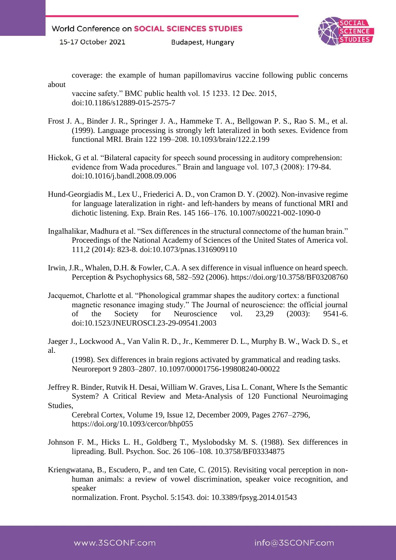**Budapest, Hungary** 



coverage: the example of human papillomavirus vaccine following public concerns about

- vaccine safety." BMC public health vol. 15 1233. 12 Dec. 2015, doi:10.1186/s12889-015-2575-7
- Frost J. A., Binder J. R., Springer J. A., Hammeke T. A., Bellgowan P. S., Rao S. M., et al. (1999). Language processing is strongly left lateralized in both sexes. Evidence from functional MRI. Brain 122 199–208. 10.1093/brain/122.2.199
- Hickok, G et al. "Bilateral capacity for speech sound processing in auditory comprehension: evidence from Wada procedures." Brain and language vol. 107,3 (2008): 179-84. doi:10.1016/j.bandl.2008.09.006
- Hund-Georgiadis M., Lex U., Friederici A. D., von Cramon D. Y. (2002). Non-invasive regime for language lateralization in right- and left-handers by means of functional MRI and dichotic listening. Exp. Brain Res. 145 166–176. 10.1007/s00221-002-1090-0
- Ingalhalikar, Madhura et al. "Sex differences in the structural connectome of the human brain." Proceedings of the National Academy of Sciences of the United States of America vol. 111,2 (2014): 823-8. doi:10.1073/pnas.1316909110
- Irwin, J.R., Whalen, D.H. & Fowler, C.A. A sex difference in visual influence on heard speech. Perception & Psychophysics 68, 582–592 (2006). https://doi.org/10.3758/BF03208760
- Jacquemot, Charlotte et al. "Phonological grammar shapes the auditory cortex: a functional magnetic resonance imaging study." The Journal of neuroscience: the official journal of the Society for Neuroscience vol. 23,29 (2003): 9541-6. doi:10.1523/JNEUROSCI.23-29-09541.2003
- Jaeger J., Lockwood A., Van Valin R. D., Jr., Kemmerer D. L., Murphy B. W., Wack D. S., et al.

(1998). Sex differences in brain regions activated by grammatical and reading tasks. Neuroreport 9 2803–2807. 10.1097/00001756-199808240-00022

Jeffrey R. Binder, Rutvik H. Desai, William W. Graves, Lisa L. Conant, Where Is the Semantic System? A Critical Review and Meta-Analysis of 120 Functional Neuroimaging Studies,

Cerebral Cortex, Volume 19, Issue 12, December 2009, Pages 2767–2796, https://doi.org/10.1093/cercor/bhp055

- Johnson F. M., Hicks L. H., Goldberg T., Myslobodsky M. S. (1988). Sex differences in lipreading. Bull. Psychon. Soc. 26 106–108. 10.3758/BF03334875
- Kriengwatana, B., Escudero, P., and ten Cate, C. (2015). Revisiting vocal perception in nonhuman animals: a review of vowel discrimination, speaker voice recognition, and speaker

normalization. Front. Psychol. 5:1543. doi: 10.3389/fpsyg.2014.01543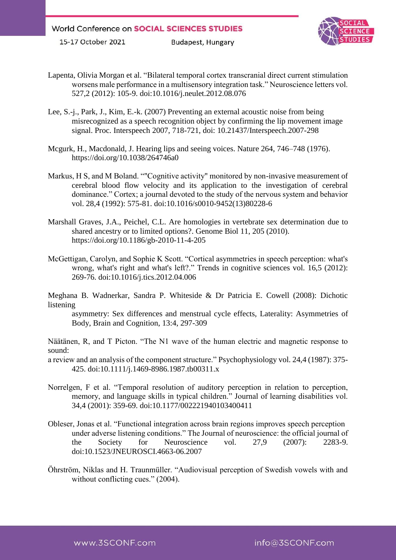**Budapest, Hungary** 



- Lapenta, Olivia Morgan et al. "Bilateral temporal cortex transcranial direct current stimulation worsens male performance in a multisensory integration task." Neuroscience letters vol. 527,2 (2012): 105-9. doi:10.1016/j.neulet.2012.08.076
- Lee, S.-j., Park, J., Kim, E.-k. (2007) Preventing an external acoustic noise from being misrecognized as a speech recognition object by confirming the lip movement image signal. Proc. Interspeech 2007, 718-721, doi: 10.21437/Interspeech.2007-298
- Mcgurk, H., Macdonald, J. Hearing lips and seeing voices. Nature 264, 746–748 (1976). https://doi.org/10.1038/264746a0
- Markus, H S, and M Boland. ""Cognitive activity" monitored by non-invasive measurement of cerebral blood flow velocity and its application to the investigation of cerebral dominance." Cortex; a journal devoted to the study of the nervous system and behavior vol. 28,4 (1992): 575-81. doi:10.1016/s0010-9452(13)80228-6
- Marshall Graves, J.A., Peichel, C.L. Are homologies in vertebrate sex determination due to shared ancestry or to limited options?. Genome Biol 11, 205 (2010). https://doi.org/10.1186/gb-2010-11-4-205
- McGettigan, Carolyn, and Sophie K Scott. "Cortical asymmetries in speech perception: what's wrong, what's right and what's left?." Trends in cognitive sciences vol. 16,5 (2012): 269-76. doi:10.1016/j.tics.2012.04.006

Meghana B. Wadnerkar, Sandra P. Whiteside & Dr Patricia E. Cowell (2008): Dichotic listening

asymmetry: Sex differences and menstrual cycle effects, Laterality: Asymmetries of Body, Brain and Cognition, 13:4, 297-309

Näätänen, R, and T Picton. "The N1 wave of the human electric and magnetic response to sound:

a review and an analysis of the component structure." Psychophysiology vol. 24,4 (1987): 375- 425. doi:10.1111/j.1469-8986.1987.tb00311.x

- Norrelgen, F et al. "Temporal resolution of auditory perception in relation to perception, memory, and language skills in typical children." Journal of learning disabilities vol. 34,4 (2001): 359-69. doi:10.1177/002221940103400411
- Obleser, Jonas et al. "Functional integration across brain regions improves speech perception under adverse listening conditions." The Journal of neuroscience: the official journal of the Society for Neuroscience vol. 27,9 (2007): 2283-9. doi:10.1523/JNEUROSCI.4663-06.2007
- Öhrström, Niklas and H. Traunmüller. "Audiovisual perception of Swedish vowels with and without conflicting cues." (2004).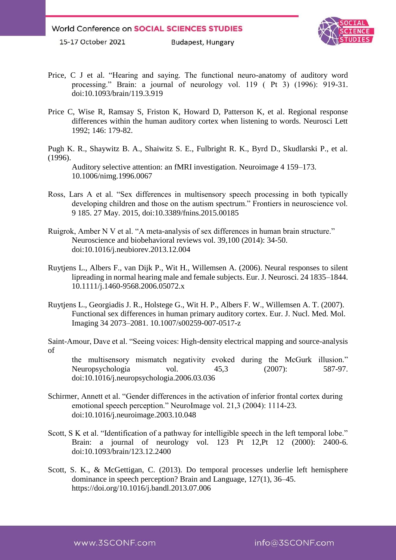**Budapest, Hungary** 



- Price, C J et al. "Hearing and saying. The functional neuro-anatomy of auditory word processing." Brain: a journal of neurology vol. 119 ( Pt 3) (1996): 919-31. doi:10.1093/brain/119.3.919
- Price C, Wise R, Ramsay S, Friston K, Howard D, Patterson K, et al. Regional response differences within the human auditory cortex when listening to words. Neurosci Lett 1992; 146: 179-82.

Pugh K. R., Shaywitz B. A., Shaiwitz S. E., Fulbright R. K., Byrd D., Skudlarski P., et al. (1996).

Auditory selective attention: an fMRI investigation. Neuroimage 4 159–173. 10.1006/nimg.1996.0067

- Ross, Lars A et al. "Sex differences in multisensory speech processing in both typically developing children and those on the autism spectrum." Frontiers in neuroscience vol. 9 185. 27 May. 2015, doi:10.3389/fnins.2015.00185
- Ruigrok, Amber N V et al. "A meta-analysis of sex differences in human brain structure." Neuroscience and biobehavioral reviews vol. 39,100 (2014): 34-50. doi:10.1016/j.neubiorev.2013.12.004
- Ruytjens L., Albers F., van Dijk P., Wit H., Willemsen A. (2006). Neural responses to silent lipreading in normal hearing male and female subjects. Eur. J. Neurosci. 24 1835–1844. 10.1111/j.1460-9568.2006.05072.x
- Ruytjens L., Georgiadis J. R., Holstege G., Wit H. P., Albers F. W., Willemsen A. T. (2007). Functional sex differences in human primary auditory cortex. Eur. J. Nucl. Med. Mol. Imaging 34 2073–2081. 10.1007/s00259-007-0517-z

Saint-Amour, Dave et al. "Seeing voices: High-density electrical mapping and source-analysis of

the multisensory mismatch negativity evoked during the McGurk illusion." Neuropsychologia vol. 45,3 (2007): 587-97. doi:10.1016/j.neuropsychologia.2006.03.036

- Schirmer, Annett et al. "Gender differences in the activation of inferior frontal cortex during emotional speech perception." NeuroImage vol. 21,3 (2004): 1114-23. doi:10.1016/j.neuroimage.2003.10.048
- Scott, S K et al. "Identification of a pathway for intelligible speech in the left temporal lobe." Brain: a journal of neurology vol. 123 Pt 12,Pt 12 (2000): 2400-6. doi:10.1093/brain/123.12.2400
- Scott, S. K., & McGettigan, C. (2013). Do temporal processes underlie left hemisphere dominance in speech perception? Brain and Language, 127(1), 36–45. https://doi.org/10.1016/j.bandl.2013.07.006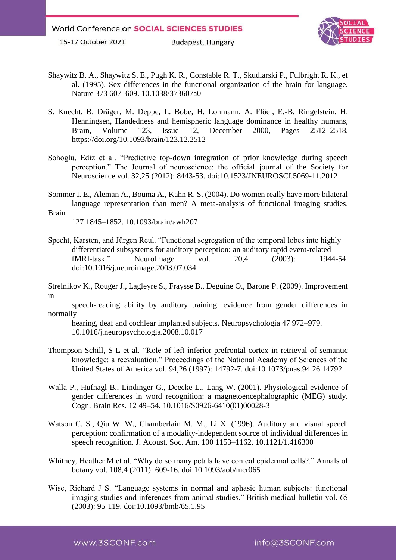**Budapest, Hungary** 



- Shaywitz B. A., Shaywitz S. E., Pugh K. R., Constable R. T., Skudlarski P., Fulbright R. K., et al. (1995). Sex differences in the functional organization of the brain for language. Nature 373 607–609. 10.1038/373607a0
- S. Knecht, B. Dräger, M. Deppe, L. Bobe, H. Lohmann, A. Flöel, E.-B. Ringelstein, H. Henningsen, Handedness and hemispheric language dominance in healthy humans, Brain, Volume 123, Issue 12, December 2000, Pages 2512–2518, https://doi.org/10.1093/brain/123.12.2512
- Sohoglu, Ediz et al. "Predictive top-down integration of prior knowledge during speech perception." The Journal of neuroscience: the official journal of the Society for Neuroscience vol. 32,25 (2012): 8443-53. doi:10.1523/JNEUROSCI.5069-11.2012
- Sommer I. E., Aleman A., Bouma A., Kahn R. S. (2004). Do women really have more bilateral language representation than men? A meta-analysis of functional imaging studies. Brain

127 1845–1852. 10.1093/brain/awh207

- Specht, Karsten, and Jürgen Reul. "Functional segregation of the temporal lobes into highly differentiated subsystems for auditory perception: an auditory rapid event-related fMRI-task." NeuroImage vol. 20,4 (2003): 1944-54. doi:10.1016/j.neuroimage.2003.07.034
- Strelnikov K., Rouger J., Lagleyre S., Fraysse B., Deguine O., Barone P. (2009). Improvement in

speech-reading ability by auditory training: evidence from gender differences in normally

hearing, deaf and cochlear implanted subjects. Neuropsychologia 47 972–979. 10.1016/j.neuropsychologia.2008.10.017

- Thompson-Schill, S L et al. "Role of left inferior prefrontal cortex in retrieval of semantic knowledge: a reevaluation." Proceedings of the National Academy of Sciences of the United States of America vol. 94,26 (1997): 14792-7. doi:10.1073/pnas.94.26.14792
- Walla P., Hufnagl B., Lindinger G., Deecke L., Lang W. (2001). Physiological evidence of gender differences in word recognition: a magnetoencephalographic (MEG) study. Cogn. Brain Res. 12 49–54. 10.1016/S0926-6410(01)00028-3
- Watson C. S., Qiu W. W., Chamberlain M. M., Li X. (1996). Auditory and visual speech perception: confirmation of a modality-independent source of individual differences in speech recognition. J. Acoust. Soc. Am. 100 1153–1162. 10.1121/1.416300
- Whitney, Heather M et al. "Why do so many petals have conical epidermal cells?." Annals of botany vol. 108,4 (2011): 609-16. doi:10.1093/aob/mcr065
- Wise, Richard J S. "Language systems in normal and aphasic human subjects: functional imaging studies and inferences from animal studies." British medical bulletin vol. 65 (2003): 95-119. doi:10.1093/bmb/65.1.95